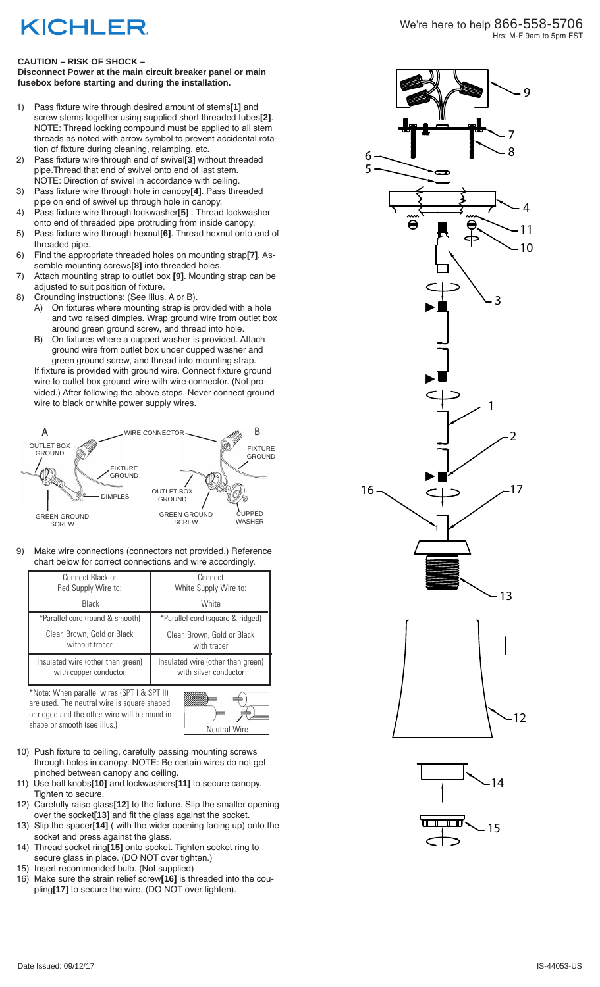## **KICHLER**

## **CAUTION – RISK OF SHOCK –**

**Disconnect Power at the main circuit breaker panel or main fusebox before starting and during the installation.** 

- 1) Pass fixture wire through desired amount of stems**[1]** and screw stems together using supplied short threaded tubes**[2]** . NOTE: Thread locking compound must be applied to all stem threads as noted with arrow symbol to prevent accidental rota tion of fixture during cleaning, relamping, etc.
- 2) Pass fixture wire through end of swivel**[3]** without threaded pipe.Thread that end of swivel onto end of last stem. NOTE: Direction of swivel in accordance with ceiling.
- 3) Pass fixture wire through hole in canopy**[4]**. Pass threaded pipe on end of swivel up through hole in canopy.
- 4) Pass fixture wire through lockwasher**[5]** . Thread lockwasher onto end of threaded pipe protruding from inside canopy.
- 5) Pass fixture wire through hexnut**[6]**. Thread hexnut onto end of threaded pipe.
- 6) Find the appropriate threaded holes on mounting strap**[7]**. As semble mounting screws**[8]** into threaded holes.
- 7) Attach mounting strap to outlet box **[9]**. Mounting strap can be adjusted to suit position of fixture.
- 8) Grounding instructions: (See Illus. A or B).
	- A) On fixtures where mounting strap is provided with a hole and two raised dimples. Wrap ground wire from outlet box around green ground screw, and thread into hole.
	- B) On fixtures where a cupped washer is provided. Attach ground wire from outlet box under cupped washer and green ground screw, and thread into mounting strap.

If fixture is provided with ground wire. Connect fixture ground wire to outlet box ground wire with wire connector. (Not pro vided.) After following the above steps. Never connect ground wire to black or white power supply wires.



9) Make wire connections (connectors not provided.) Reference chart below for correct connections and wire accordingly.

| Connect Black or<br>Red Supply Wire to:                                                                                                     | Connect<br>White Supply Wire to:                           |
|---------------------------------------------------------------------------------------------------------------------------------------------|------------------------------------------------------------|
| Black                                                                                                                                       | White                                                      |
| *Parallel cord (round & smooth)                                                                                                             | *Parallel cord (square & ridged)                           |
| Clear, Brown, Gold or Black<br>without tracer                                                                                               | Clear, Brown, Gold or Black<br>with tracer                 |
| Insulated wire (other than green)<br>with copper conductor                                                                                  | Insulated wire (other than green)<br>with silver conductor |
| *Note: When parallel wires (SPT I & SPT II)<br>are used. The neutral wire is square shaped<br>or ridged and the other wire will be round in |                                                            |



- 10) Push fixture to ceiling, carefully passing mounting screws through holes in canopy. NOTE: Be certain wires do not get pinched between canopy and ceiling.
- 11) Use ball knobs**[10]** and lockwashers**[11]** to secure canopy. Tighten to secure.
- 12) Carefully raise glass**[12]** to the fixture. Slip the smaller opening over the socket**[13]** and fit the glass against the socket.
- 13) Slip the spacer**[14]** ( with the wider opening facing up) onto the socket and press against the glass.
- 14) Thread socket ring**[15]** onto socket. Tighten socket ring to secure glass in place. (DO NOT over tighten.)
- 15) Insert recommended bulb. (Not supplied)
- 16) Make sure the strain relief screw**[16]** is threaded into the cou pling**[17]** to secure the wire. (DO NOT over tighten).